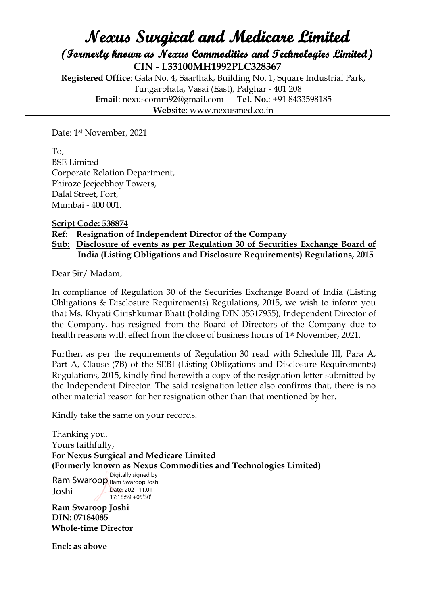## **Nexus Surgical and Medicare Limited (Formerly known as Nexus Commodities and Technologies Limited) CIN - L33100MH1992PLC328367**

**Registered Office**: Gala No. 4, Saarthak, Building No. 1, Square Industrial Park, Tungarphata, Vasai (East), Palghar - 401 208 **Email**: nexuscomm92@gmail.com **Tel. No.**: +91 8433598185 **Website**: www.nexusmed.co.in

Date: 1st November, 2021

To, BSE Limited Corporate Relation Department, Phiroze Jeejeebhoy Towers, Dalal Street, Fort, Mumbai - 400 001.

**Script Code: 538874**

## **Ref: Resignation of Independent Director of the Company**

## **Sub: Disclosure of events as per Regulation 30 of Securities Exchange Board of India (Listing Obligations and Disclosure Requirements) Regulations, 2015**

Dear Sir/ Madam,

In compliance of Regulation 30 of the Securities Exchange Board of India (Listing Obligations & Disclosure Requirements) Regulations, 2015, we wish to inform you that Ms. Khyati Girishkumar Bhatt (holding DIN 05317955), Independent Director of the Company, has resigned from the Board of Directors of the Company due to health reasons with effect from the close of business hours of 1st November, 2021.

Further, as per the requirements of Regulation 30 read with Schedule III, Para A, Part A, Clause (7B) of the SEBI (Listing Obligations and Disclosure Requirements) Regulations, 2015, kindly find herewith a copy of the resignation letter submitted by the Independent Director. The said resignation letter also confirms that, there is no other material reason for her resignation other than that mentioned by her.

Kindly take the same on your records.

Thanking you. Yours faithfully, **For Nexus Surgical and Medicare Limited (Formerly known as Nexus Commodities and Technologies Limited) Ram Swaroop Joshi DIN: 07184085 Whole-time Director** Ram Swaroop Ram Swaroop Joshi Joshi Digitally signed by Date: 2021.11.01 17:18:59 +05'30'

**Encl: as above**